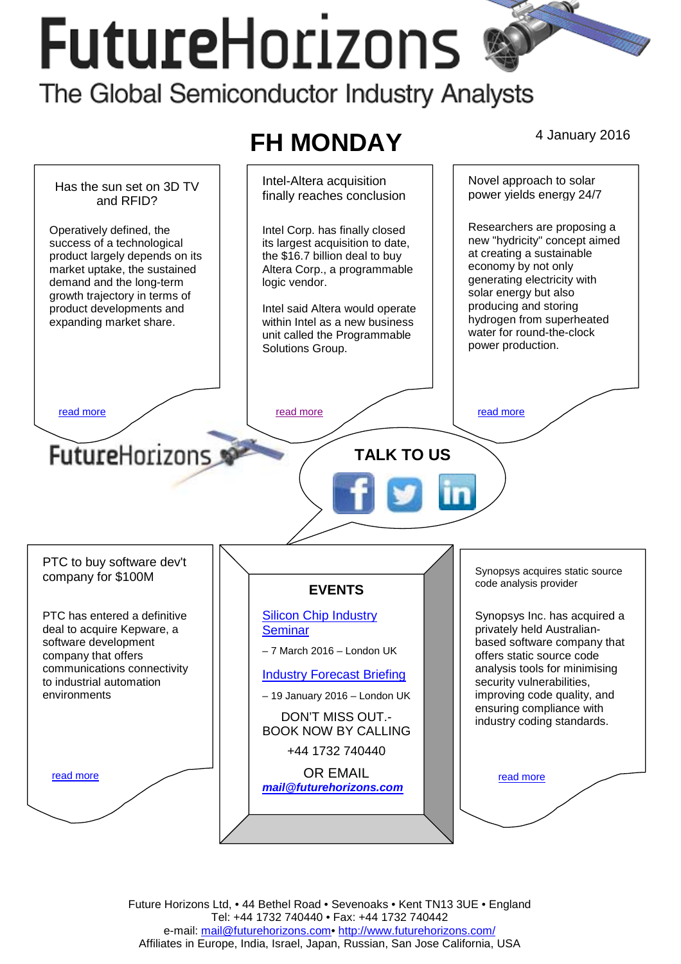# **FutureHorizons** The Global Semiconductor Industry Analysts





Future Horizons Ltd, • 44 Bethel Road • Sevenoaks • Kent TN13 3UE • England Tel: +44 1732 740440 • Fax: +44 1732 740442 e-mail: mail@futurehorizons.com• http://www.futurehorizons.com/ Affiliates in Europe, India, Israel, Japan, Russian, San Jose California, USA